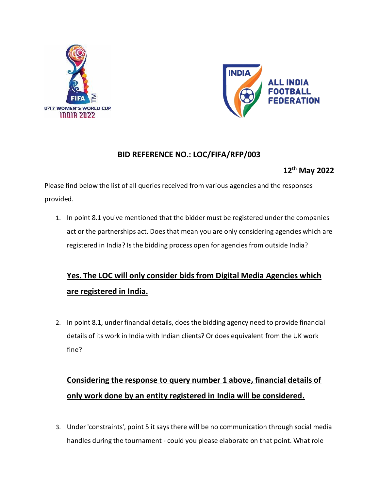



### **BID REFERENCE NO.: LOC/FIFA/RFP/003**

### **12th May 2022**

Please find below the list of all queries received from various agencies and the responses provided.

1. In point 8.1 you've mentioned that the bidder must be registered under the companies act or the partnerships act. Does that mean you are only considering agencies which are registered in India? Is the bidding process open for agencies from outside India?

## **Yes. The LOC will only consider bids from Digital Media Agencies which are registered in India.**

2. In point 8.1, under financial details, does the bidding agency need to provide financial details of its work in India with Indian clients? Or does equivalent from the UK work fine?

## **Considering the response to query number 1 above, financial details of only work done by an entity registered in India will be considered.**

3. Under 'constraints', point 5 it says there will be no communication through social media handles during the tournament - could you please elaborate on that point. What role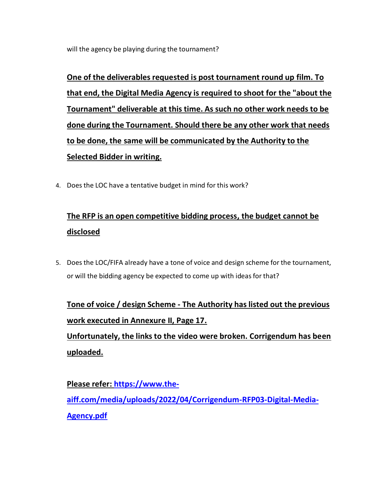will the agency be playing during the tournament?

**One of the deliverables requested is post tournament round up film. To that end, the Digital Media Agency is required to shoot for the "about the Tournament" deliverable at this time. As such no other work needs to be done during the Tournament. Should there be any other work that needs to be done, the same will be communicated by the Authority to the Selected Bidder in writing.** 

4. Does the LOC have a tentative budget in mind for this work?

## **The RFP is an open competitive bidding process, the budget cannot be disclosed**

5. Does the LOC/FIFA already have a tone of voice and design scheme for the tournament, or will the bidding agency be expected to come up with ideas for that?

**Tone of voice / design Scheme - The Authority has listed out the previous work executed in Annexure II, Page 17.**

**Unfortunately, the links to the video were broken. Corrigendum has been uploaded.** 

**Please refer: [https://www.the](https://www.the-aiff.com/media/uploads/2022/04/Corrigendum-RFP03-Digital-Media-Agency.pdf)[aiff.com/media/uploads/2022/04/Corrigendum-RFP03-Digital-Media-](https://www.the-aiff.com/media/uploads/2022/04/Corrigendum-RFP03-Digital-Media-Agency.pdf)[Agency.pdf](https://www.the-aiff.com/media/uploads/2022/04/Corrigendum-RFP03-Digital-Media-Agency.pdf)**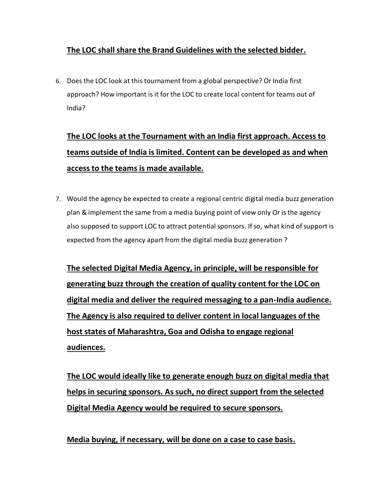## **The LOC shall share the Brand Guidelines with the selected bidder.**

6. Does the LOC look at this tournament from a global perspective? Or India first approach? How important is it for the LOC to create local content for teams out of India?

# **The LOC looks at the Tournament with an India first approach. Access to teams outside of India is limited. Content can be developed as and when access to the teams is made available.**

7. Would the agency be expected to create a regional centric digital media buzz generation plan & implement the same from a media buying point of view only Or is the agency also supposed to support LOC to attract potential sponsors. If so, what kind of support is expected from the agency apart from the digital media buzz generation ?

**The selected Digital Media Agency, in principle, will be responsible for generating buzz through the creation of quality content for the LOC on digital media and deliver the required messaging to a pan-India audience. The Agency is also required to deliver content in local languages of the host states of Maharashtra, Goa and Odisha to engage regional audiences.**

**The LOC would ideally like to generate enough buzz on digital media that helps in securing sponsors. As such, no direct support from the selected Digital Media Agency would be required to secure sponsors.**

**Media buying, if necessary, will be done on a case to case basis.**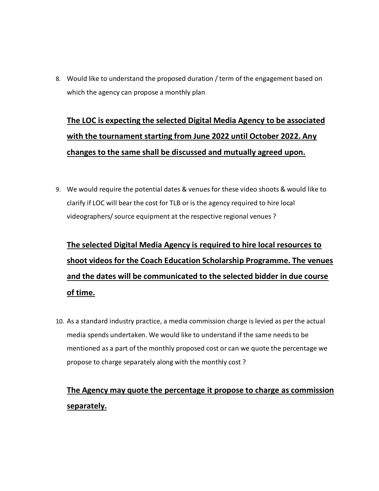8. Would like to understand the proposed duration / term of the engagement based on which the agency can propose a monthly plan

# **The LOC is expecting the selected Digital Media Agency to be associated with the tournament starting from June 2022 until October 2022. Any changes to the same shall be discussed and mutually agreed upon.**

9. We would require the potential dates & venues for these video shoots & would like to clarify if LOC will bear the cost for TLB or is the agency required to hire local videographers/ source equipment at the respective regional venues ?

# **The selected Digital Media Agency is required to hire local resources to shoot videos for the Coach Education Scholarship Programme. The venues and the dates will be communicated to the selected bidder in due course of time.**

10. As a standard industry practice, a media commission charge is levied as per the actual media spends undertaken. We would like to understand if the same needs to be mentioned as a part of the monthly proposed cost or can we quote the percentage we propose to charge separately along with the monthly cost ?

## **The Agency may quote the percentage it propose to charge as commission separately.**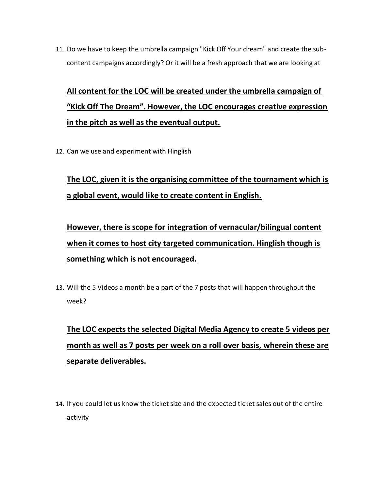11. Do we have to keep the umbrella campaign "Kick Off Your dream" and create the subcontent campaigns accordingly? Or it will be a fresh approach that we are looking at

# **All content for the LOC will be created under the umbrella campaign of "Kick Off The Dream". However, the LOC encourages creative expression in the pitch as well as the eventual output.**

12. Can we use and experiment with Hinglish

## **The LOC, given it is the organising committee of the tournament which is a global event, would like to create content in English.**

**However, there is scope for integration of vernacular/bilingual content when it comes to host city targeted communication. Hinglish though is something which is not encouraged.**

13. Will the 5 Videos a month be a part of the 7 posts that will happen throughout the week?

# **The LOC expects the selected Digital Media Agency to create 5 videos per month as well as 7 posts per week on a roll over basis, wherein these are separate deliverables.**

14. If you could let us know the ticket size and the expected ticket sales out of the entire activity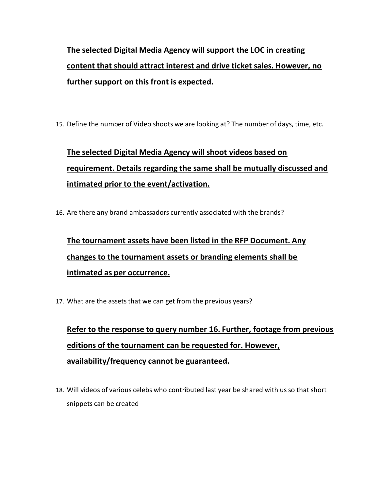# **The selected Digital Media Agency will support the LOC in creating content that should attract interest and drive ticket sales. However, no further support on this front is expected.**

15. Define the number of Video shoots we are looking at? The number of days, time, etc.

# **The selected Digital Media Agency will shoot videos based on requirement. Details regarding the same shall be mutually discussed and intimated prior to the event/activation.**

16. Are there any brand ambassadors currently associated with the brands?

**The tournament assets have been listed in the RFP Document. Any changes to the tournament assets or branding elements shall be intimated as per occurrence.**

17. What are the assets that we can get from the previous years?

**Refer to the response to query number 16. Further, footage from previous editions of the tournament can be requested for. However, availability/frequency cannot be guaranteed.**

18. Will videos of various celebs who contributed last year be shared with us so that short snippets can be created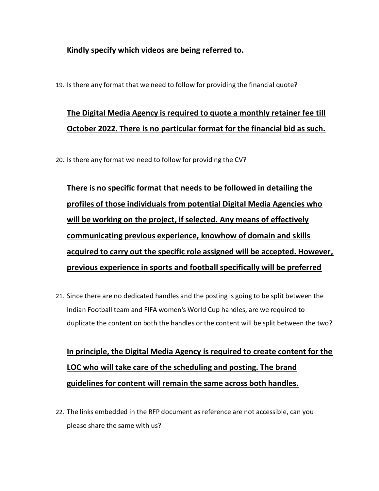### **Kindly specify which videos are being referred to.**

19. Is there any format that we need to follow for providing the financial quote?

## **The Digital Media Agency is required to quote a monthly retainer fee till October 2022. There is no particular format for the financial bid as such.**

20. Is there any format we need to follow for providing the CV?

**There is no specific format that needs to be followed in detailing the profiles of those individuals from potential Digital Media Agencies who will be working on the project, if selected. Any means of effectively communicating previous experience, knowhow of domain and skills acquired to carry out the specific role assigned will be accepted. However, previous experience in sports and football specifically will be preferred**

21. Since there are no dedicated handles and the posting is going to be split between the Indian Football team and FIFA women's World Cup handles, are we required to duplicate the content on both the handles or the content will be split between the two?

**In principle, the Digital Media Agency is required to create content for the LOC who will take care of the scheduling and posting. The brand guidelines for content will remain the same across both handles.**

22. The links embedded in the RFP document as reference are not accessible, can you please share the same with us?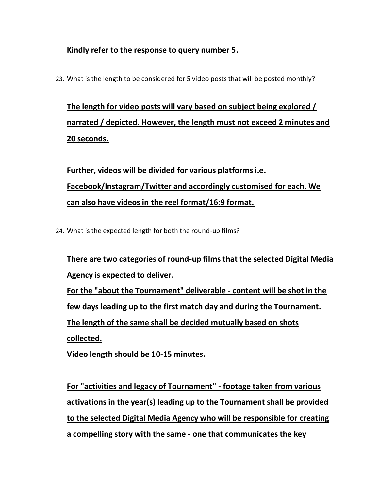## **Kindly refer to the response to query number 5.**

23. What is the length to be considered for 5 video posts that will be posted monthly?

**The length for video posts will vary based on subject being explored / narrated / depicted. However, the length must not exceed 2 minutes and 20 seconds.**

**Further, videos will be divided for various platforms i.e. Facebook/Instagram/Twitter and accordingly customised for each. We can also have videos in the reel format/16:9 format.**

24. What is the expected length for both the round-up films?

**There are two categories of round-up films that the selected Digital Media Agency is expected to deliver. For the "about the Tournament" deliverable - content will be shot in the few days leading up to the first match day and during the Tournament. The length of the same shall be decided mutually based on shots collected.**

**Video length should be 10-15 minutes.**

**For "activities and legacy of Tournament" - footage taken from various activations in the year(s) leading up to the Tournament shall be provided to the selected Digital Media Agency who will be responsible for creating a compelling story with the same - one that communicates the key**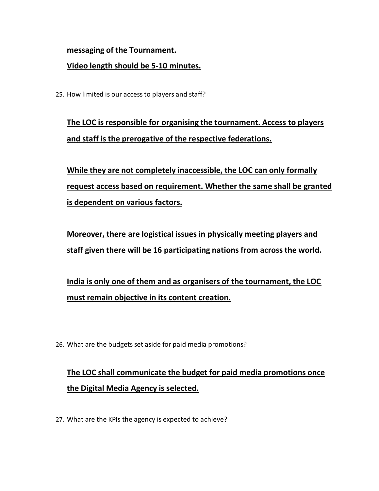#### **messaging of the Tournament.**

### **Video length should be 5-10 minutes.**

25. How limited is our access to players and staff?

**The LOC is responsible for organising the tournament. Access to players and staff is the prerogative of the respective federations.** 

**While they are not completely inaccessible, the LOC can only formally request access based on requirement. Whether the same shall be granted is dependent on various factors.**

**Moreover, there are logistical issues in physically meeting players and staff given there will be 16 participating nations from across the world.**

**India is only one of them and as organisers of the tournament, the LOC must remain objective in its content creation.**

26. What are the budgets set aside for paid media promotions?

## **The LOC shall communicate the budget for paid media promotions once the Digital Media Agency is selected.**

27. What are the KPIs the agency is expected to achieve?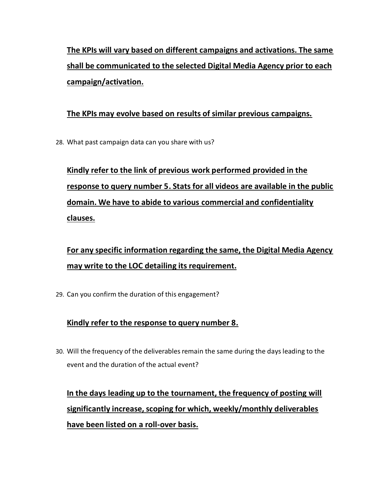**The KPIs will vary based on different campaigns and activations. The same shall be communicated to the selected Digital Media Agency prior to each campaign/activation.**

## **The KPIs may evolve based on results of similar previous campaigns.**

28. What past campaign data can you share with us?

# **Kindly refer to the link of previous work performed provided in the response to query number 5. Stats for all videos are available in the public domain. We have to abide to various commercial and confidentiality clauses.**

**For any specific information regarding the same, the Digital Media Agency may write to the LOC detailing its requirement.**

29. Can you confirm the duration of this engagement?

### **Kindly refer to the response to query number 8.**

30. Will the frequency of the deliverables remain the same during the days leading to the event and the duration of the actual event?

# **In the days leading up to the tournament, the frequency of posting will significantly increase, scoping for which, weekly/monthly deliverables have been listed on a roll-over basis.**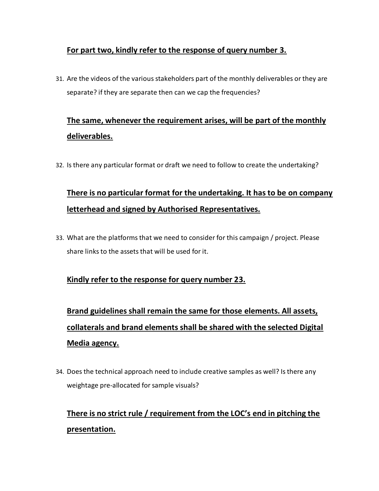## **For part two, kindly refer to the response of query number 3.**

31. Are the videos of the various stakeholders part of the monthly deliverables or they are separate? if they are separate then can we cap the frequencies?

## **The same, whenever the requirement arises, will be part of the monthly deliverables.**

32. Is there any particular format or draft we need to follow to create the undertaking?

## **There is no particular format for the undertaking. It has to be on company letterhead and signed by Authorised Representatives.**

33. What are the platforms that we need to consider for this campaign / project. Please share links to the assets that will be used for it.

### **Kindly refer to the response for query number 23.**

**Brand guidelines shall remain the same for those elements. All assets, collaterals and brand elements shall be shared with the selected Digital Media agency.**

34. Does the technical approach need to include creative samples as well? Is there any weightage pre-allocated for sample visuals?

## **There is no strict rule / requirement from the LOC's end in pitching the presentation.**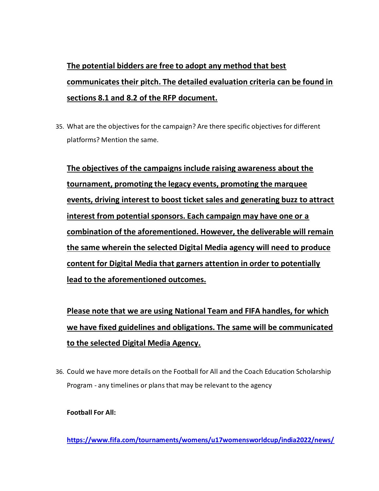# **The potential bidders are free to adopt any method that best communicates their pitch. The detailed evaluation criteria can be found in sections 8.1 and 8.2 of the RFP document.**

35. What are the objectives for the campaign? Are there specific objectives for different platforms? Mention the same.

**The objectives of the campaigns include raising awareness about the tournament, promoting the legacy events, promoting the marquee events, driving interest to boost ticket sales and generating buzz to attract interest from potential sponsors. Each campaign may have one or a combination of the aforementioned. However, the deliverable will remain the same wherein the selected Digital Media agency will need to produce content for Digital Media that garners attention in order to potentially lead to the aforementioned outcomes.** 

**Please note that we are using National Team and FIFA handles, for which we have fixed guidelines and obligations. The same will be communicated to the selected Digital Media Agency.**

36. Could we have more details on the Football for All and the Coach Education Scholarship Program - any timelines or plans that may be relevant to the agency

#### **Football For All:**

**[https://www.fifa.com/tournaments/womens/u17womensworldcup/india2022/news/](https://www.fifa.com/tournaments/womens/u17womensworldcup/india2022/news/inaugural-kick-off-the-dream-tm-football-carnival-hosted-in-navi-mumbai)**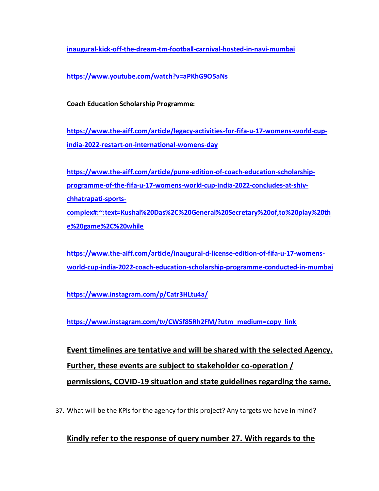**[inaugural-kick-off-the-dream-tm-football-carnival-hosted-in-navi-mumbai](https://www.fifa.com/tournaments/womens/u17womensworldcup/india2022/news/inaugural-kick-off-the-dream-tm-football-carnival-hosted-in-navi-mumbai)**

**<https://www.youtube.com/watch?v=aPKhG9O5aNs>**

**Coach Education Scholarship Programme:**

**[https://www.the-aiff.com/article/legacy-activities-for-fifa-u-17-womens-world-cup](https://www.the-aiff.com/article/legacy-activities-for-fifa-u-17-womens-world-cup-india-2022-restart-on-international-womens-day)[india-2022-restart-on-international-womens-day](https://www.the-aiff.com/article/legacy-activities-for-fifa-u-17-womens-world-cup-india-2022-restart-on-international-womens-day)**

**[https://www.the-aiff.com/article/pune-edition-of-coach-education-scholarship](https://www.the-aiff.com/article/pune-edition-of-coach-education-scholarship-programme-of-the-fifa-u-17-womens-world-cup-india-2022-concludes-at-shiv-chhatrapati-sports-complex#:~:text=Kushal%20Das%2C%20General%20Secretary%20of,to%20play%20the%20game%2C%20while)[programme-of-the-fifa-u-17-womens-world-cup-india-2022-concludes-at-shiv](https://www.the-aiff.com/article/pune-edition-of-coach-education-scholarship-programme-of-the-fifa-u-17-womens-world-cup-india-2022-concludes-at-shiv-chhatrapati-sports-complex#:~:text=Kushal%20Das%2C%20General%20Secretary%20of,to%20play%20the%20game%2C%20while)[chhatrapati-sports](https://www.the-aiff.com/article/pune-edition-of-coach-education-scholarship-programme-of-the-fifa-u-17-womens-world-cup-india-2022-concludes-at-shiv-chhatrapati-sports-complex#:~:text=Kushal%20Das%2C%20General%20Secretary%20of,to%20play%20the%20game%2C%20while)[complex#:~:text=Kushal%20Das%2C%20General%20Secretary%20of,to%20play%20th](https://www.the-aiff.com/article/pune-edition-of-coach-education-scholarship-programme-of-the-fifa-u-17-womens-world-cup-india-2022-concludes-at-shiv-chhatrapati-sports-complex#:~:text=Kushal%20Das%2C%20General%20Secretary%20of,to%20play%20the%20game%2C%20while) [e%20game%2C%20while](https://www.the-aiff.com/article/pune-edition-of-coach-education-scholarship-programme-of-the-fifa-u-17-womens-world-cup-india-2022-concludes-at-shiv-chhatrapati-sports-complex#:~:text=Kushal%20Das%2C%20General%20Secretary%20of,to%20play%20the%20game%2C%20while)**

**[https://www.the-aiff.com/article/inaugural-d-license-edition-of-fifa-u-17-womens](https://www.the-aiff.com/article/inaugural-d-license-edition-of-fifa-u-17-womens-world-cup-india-2022-coach-education-scholarship-programme-conducted-in-mumbai)[world-cup-india-2022-coach-education-scholarship-programme-conducted-in-mumbai](https://www.the-aiff.com/article/inaugural-d-license-edition-of-fifa-u-17-womens-world-cup-india-2022-coach-education-scholarship-programme-conducted-in-mumbai)**

**<https://www.instagram.com/p/Catr3HLtu4a/>**

**[https://www.instagram.com/tv/CWSf85Rh2FM/?utm\\_medium=copy\\_link](https://www.instagram.com/tv/CWSf85Rh2FM/?utm_medium=copy_link)**

**Event timelines are tentative and will be shared with the selected Agency. Further, these events are subject to stakeholder co-operation / permissions, COVID-19 situation and state guidelines regarding the same.** 

37. What will be the KPIs for the agency for this project? Any targets we have in mind?

### **Kindly refer to the response of query number 27. With regards to the**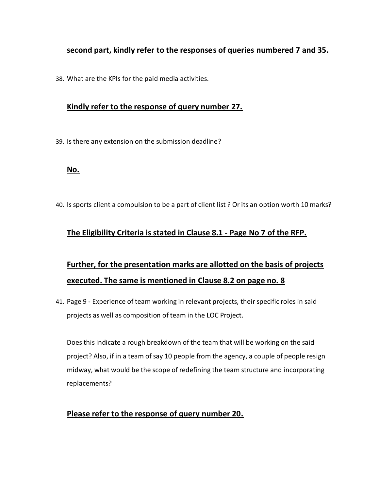### **second part, kindly refer to the responses of queries numbered 7 and 35.**

38. What are the KPIs for the paid media activities.

### **Kindly refer to the response of query number 27.**

39. Is there any extension on the submission deadline?

#### **No.**

40. Is sports client a compulsion to be a part of client list ? Or its an option worth 10 marks?

### **The Eligibility Criteria is stated in Clause 8.1 - Page No 7 of the RFP.**

## **Further, for the presentation marks are allotted on the basis of projects executed. The same is mentioned in Clause 8.2 on page no. 8**

41. Page 9 - Experience of team working in relevant projects, their specific roles in said projects as well as composition of team in the LOC Project.

Does this indicate a rough breakdown of the team that will be working on the said project? Also, if in a team of say 10 people from the agency, a couple of people resign midway, what would be the scope of redefining the team structure and incorporating replacements?

#### **Please refer to the response of query number 20.**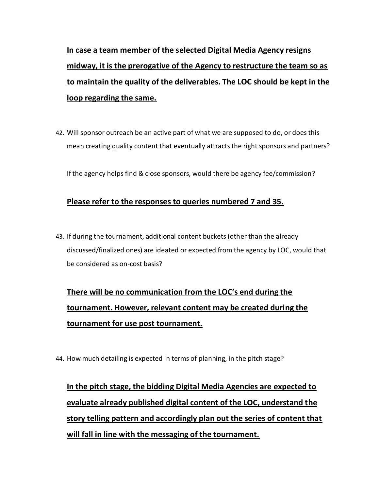**In case a team member of the selected Digital Media Agency resigns midway, it is the prerogative of the Agency to restructure the team so as to maintain the quality of the deliverables. The LOC should be kept in the loop regarding the same.**

42. Will sponsor outreach be an active part of what we are supposed to do, or does this mean creating quality content that eventually attracts the right sponsors and partners?

If the agency helps find & close sponsors, would there be agency fee/commission?

#### **Please refer to the responses to queries numbered 7 and 35.**

43. If during the tournament, additional content buckets (other than the already discussed/finalized ones) are ideated or expected from the agency by LOC, would that be considered as on-cost basis?

# **There will be no communication from the LOC's end during the tournament. However, relevant content may be created during the tournament for use post tournament.**

44. How much detailing is expected in terms of planning, in the pitch stage?

**In the pitch stage, the bidding Digital Media Agencies are expected to evaluate already published digital content of the LOC, understand the story telling pattern and accordingly plan out the series of content that will fall in line with the messaging of the tournament.**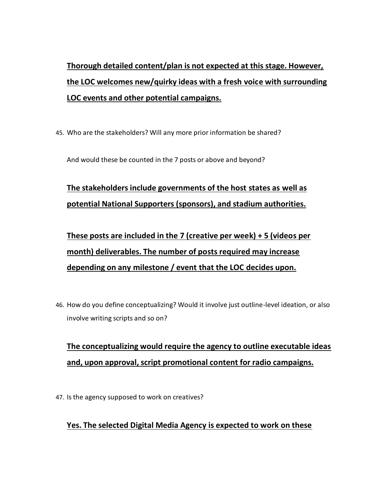# **Thorough detailed content/plan is not expected at this stage. However, the LOC welcomes new/quirky ideas with a fresh voice with surrounding LOC events and other potential campaigns.**

45. Who are the stakeholders? Will any more prior information be shared?

And would these be counted in the 7 posts or above and beyond?

## **The stakeholders include governments of the host states as well as potential National Supporters (sponsors), and stadium authorities.**

**These posts are included in the 7 (creative per week) + 5 (videos per month) deliverables. The number of posts required may increase depending on any milestone / event that the LOC decides upon.**

46. How do you define conceptualizing? Would it involve just outline-level ideation, or also involve writing scripts and so on?

## **The conceptualizing would require the agency to outline executable ideas and, upon approval, script promotional content for radio campaigns.**

47. Is the agency supposed to work on creatives?

## **Yes. The selected Digital Media Agency is expected to work on these**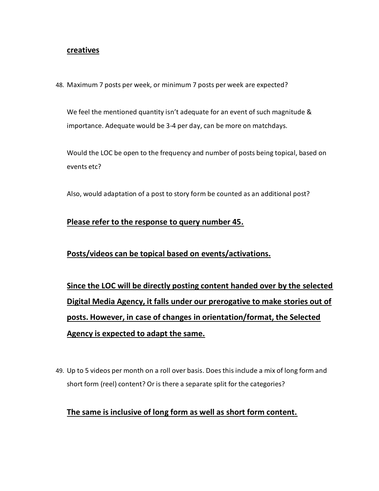#### **creatives**

48. Maximum 7 posts per week, or minimum 7 posts per week are expected?

We feel the mentioned quantity isn't adequate for an event of such magnitude & importance. Adequate would be 3-4 per day, can be more on matchdays.

Would the LOC be open to the frequency and number of posts being topical, based on events etc?

Also, would adaptation of a post to story form be counted as an additional post?

#### **Please refer to the response to query number 45.**

#### **Posts/videos can be topical based on events/activations.**

**Since the LOC will be directly posting content handed over by the selected Digital Media Agency, it falls under our prerogative to make stories out of posts. However, in case of changes in orientation/format, the Selected Agency is expected to adapt the same.**

49. Up to 5 videos per month on a roll over basis. Does this include a mix of long form and short form (reel) content? Or is there a separate split for the categories?

#### **The same is inclusive of long form as well as short form content.**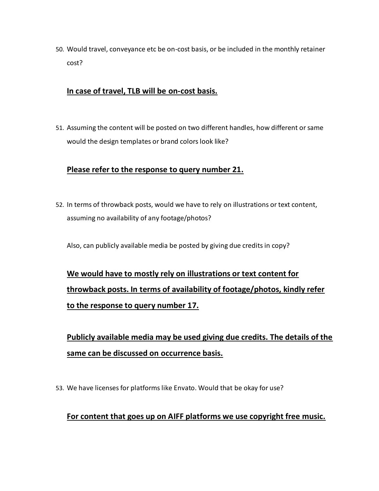50. Would travel, conveyance etc be on-cost basis, or be included in the monthly retainer cost?

### **In case of travel, TLB will be on-cost basis.**

51. Assuming the content will be posted on two different handles, how different or same would the design templates or brand colors look like?

#### **Please refer to the response to query number 21.**

52. In terms of throwback posts, would we have to rely on illustrations or text content, assuming no availability of any footage/photos?

Also, can publicly available media be posted by giving due credits in copy?

# **We would have to mostly rely on illustrations or text content for throwback posts. In terms of availability of footage/photos, kindly refer to the response to query number 17.**

**Publicly available media may be used giving due credits. The details of the same can be discussed on occurrence basis.**

53. We have licenses for platforms like Envato. Would that be okay for use?

#### **For content that goes up on AIFF platforms we use copyright free music.**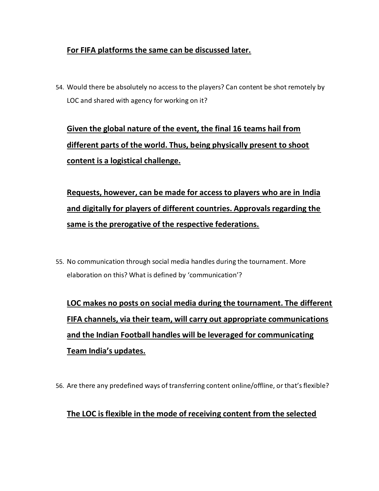### **For FIFA platforms the same can be discussed later.**

54. Would there be absolutely no access to the players? Can content be shot remotely by LOC and shared with agency for working on it?

**Given the global nature of the event, the final 16 teams hail from different parts of the world. Thus, being physically present to shoot content is a logistical challenge.**

**Requests, however, can be made for access to players who are in India and digitally for players of different countries. Approvals regarding the same is the prerogative of the respective federations.**

55. No communication through social media handles during the tournament. More elaboration on this? What is defined by 'communication'?

**LOC makes no posts on social media during the tournament. The different FIFA channels, via their team, will carry out appropriate communications and the Indian Football handles will be leveraged for communicating Team India's updates.**

56. Are there any predefined ways of transferring content online/offline, or that's flexible?

### **The LOC is flexible in the mode of receiving content from the selected**